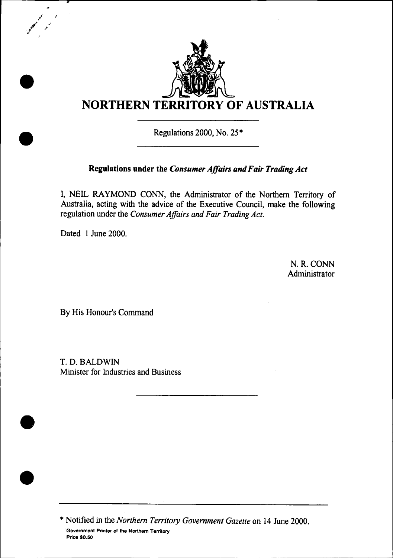

Regulations 2000, No. 25\*

## **Regulations under the** *Consumer Affairs and Fair Trading Act*

I, NEIL RAYMOND CONN, the Administrator of the Northern Territory of Australia, acting with the advice of the Executive Council, make the following regulation under the *Consumer Affairs and Fair Trading Act.*

Dated 1 June 2000.

N. R. CONN Administrator

By His Honour's Command

T. D. BALDWIN Minister for Industries and Business

\* Notified in the *Northern Territory Government Gazette* on 14 June 2000. Government Printer of the Northern Territory Price S0.50